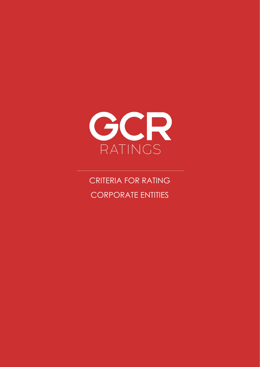

# CRITERIA FOR RATING CORPORATE ENTITIES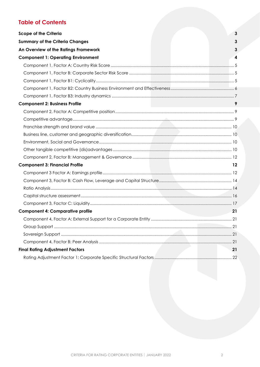# **Table of Contents**

| <b>Scope of the Criteria</b>              | $\mathbf{3}$            |
|-------------------------------------------|-------------------------|
| <b>Summary of the Criteria Changes</b>    | 3                       |
|                                           | 3                       |
| An Overview of the Ratings Framework      |                         |
| <b>Component 1: Operating Environment</b> | $\overline{\mathbf{4}}$ |
|                                           |                         |
|                                           |                         |
|                                           |                         |
|                                           |                         |
|                                           |                         |
| <b>Component 2: Business Profile</b>      | 9                       |
|                                           |                         |
|                                           |                         |
|                                           |                         |
|                                           |                         |
|                                           |                         |
|                                           |                         |
|                                           |                         |
| <b>Component 3: Financial Profile</b>     | $12 \,$                 |
|                                           |                         |
|                                           |                         |
|                                           |                         |
|                                           |                         |
|                                           |                         |
| <b>Component 4: Comparative profile</b>   | 21                      |
|                                           |                         |
|                                           |                         |
|                                           |                         |
|                                           |                         |
| <b>Final Rating Adjustment Factors</b>    | 21                      |
|                                           |                         |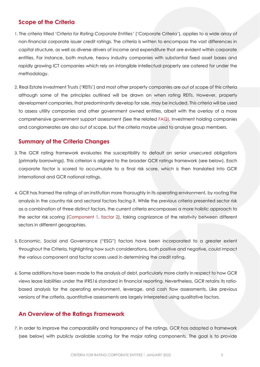### <span id="page-2-0"></span>**Scope of the Criteria**

- 1. The criteria titled '*Criteria for Rating Corporate Entities'* ('Corporate Criteria'), applies to a wide array of non-financial corporate issuer credit ratings. The criteria is written to encompass the vast differences in capital structure, as well as diverse drivers of income and expenditure that are evident within corporate entities. For instance, both mature, heavy industry companies with substantial fixed asset bases and rapidly growing ICT companies which rely on intangible intellectual property are catered for under the methodology.
- 2. Real Estate Investment Trusts ('REITs') and most other property companies are out of scope of this criteria although some of the principles outlined will be drawn on when rating REITs. However, property development companies, that predominantly develop for sale, may be included. This criteria will be used to assess utility companies and other government owned entities, albeit with the overlay of a more comprehensive government support assessment (See the related [FAQ\)](https://gcrratings.com/criteria/). Investment holding companies and conglomerates are also out of scope, but the criteria maybe used to analyse group members.

### <span id="page-2-1"></span>**Summary of the Criteria Changes**

- 3. The GCR rating framework evaluates the susceptibility to default on senior unsecured obligations (primarily borrowings). This criterion is aligned to the broader GCR ratings framework (see below). Each corporate factor is scored to accumulate to a final risk score, which is then translated into GCR international and GCR national ratings.
- 4. GCR has framed the ratings of an institution more thoroughly in its operating environment, by rooting the analysis in the country risk and sectoral factors facing it. While the previous criteria presented sector risk as a combination of three distinct factors, the current criteria encompasses a more holistic approach to the sector risk scoring [\(Component 1, factor 2\)](#page-4-1), taking cognizance of the relativity between different sectors in different geographies.
- 5. Economic, Social and Governance ("ESG") factors have been incorporated to a greater extent throughout the Criteria, highlighting how such considerations, both positive and negative, could impact the various component and factor scores used in determining the credit rating.
- 6. Some additions have been made to the analysis of debt, particularly more clarity in respect to how GCR views lease liabilities under the IFRS16 standard in financial reporting. Nevertheless, GCR retains its ratiobased analysis for the operating environment, leverage, and cash flow assessments. Like previous versions of the criteria, quantitative assessments are largely interpreted using qualitative factors.

### <span id="page-2-2"></span>**An Overview of the Ratings Framework**

7. In order to improve the comparability and transparency of the ratings, GCR has adopted a framework (see below) with publicly available scoring for the major rating components. The goal is to provide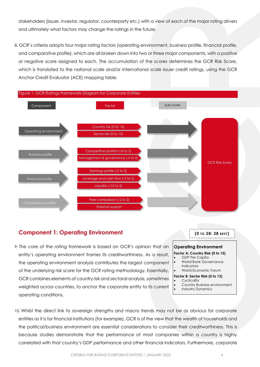stakeholders (issuer, investor, regulator, counterparty etc.) with a view of each of the major rating drivers and ultimately what factors may change the ratings in the future.

8. GCR's criteria adopts four major rating factors (operating environment, business profile, financial profile, and comparative profile), which are all broken down into two or three major components, with a positive or negative score assigned to each. The accumulation of the scores determines the GCR Risk Score, which is translated to the national scale and/or international scale issuer credit ratings, using the GCR Anchor Credit Evaluator (ACE) mapping table.



### <span id="page-3-0"></span>**Component 1: Operating Environment**

9. The core of the rating framework is based on GCR's opinion that an entity's operating environment frames its creditworthiness. As a result, the operating environment analysis contributes the largest component of the underlying risk score for the GCR rating methodology. Essentially, GCR combines elements of country risk and sectoral analysis, sometimes weighted across countries, to anchor the corporate entity to its current operating conditions.

# **Operating Environment**

**(0 TO 28: 28 BEST)**

-----------

### **Factor A: Country Risk (0 to 15)**

- GDP Per Capita • World Bank Governance
- Indicators • World Economic Forum
- **Factor B: Sector Risk (0 to 13)**
	- **Cyclicality**
- Country Business environment
- Industry Dynamics

10. Whilst the direct link to sovereign strengths and macro trends may not be as obvious for corporate entities as it is for financial institutions (for example), GCR is of the view that the wealth of households and the political/business environment are *essential* considerations to consider their creditworthiness. This is because studies demonstrate that the performance of most companies within a country is highly correlated with that country's GDP performance and other financial indicators. Furthermore, corporate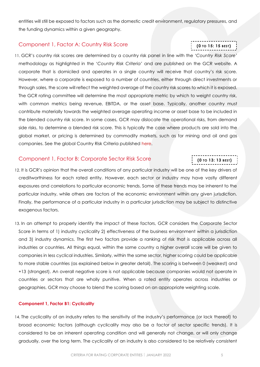entities will still be exposed to factors such as the domestic credit environment, regulatory pressures, and the funding dynamics within a given geography.

### <span id="page-4-0"></span>Component 1, Factor A: Country Risk Score

11. GCR's country risk scores are determined by a country risk panel in line with the *'Country Risk Score'* methodology as highlighted in the '*Country Risk Criteria'* and are published on the GCR website*.* A corporate that is domiciled and operates in a single country will receive that country's risk score*.* However, where a corporate is exposed to a number of countries, either through direct investments or through sales, the score will reflect the weighted average of the country risk scores to which it is exposed. The GCR rating committee will determine the most appropriate metric by which to weight country risk, with common metrics being revenue, EBITDA, or the asset base. Typically, another country must contribute materially towards the weighted average operating income or asset base to be included in the blended country risk score. In some cases, GCR may dislocate the operational risks, from demand side risks, to determine a blended risk score. This is typically the case where products are sold into the global market, or pricing is determined by commodity markets, such as for mining and oil and gas companies. See the global Country Risk Criteria published [here.](http://gcrratings.com/criteria)

### Component 1, Factor B: Corporate Sector Risk Score

<span id="page-4-1"></span>12. It is GCR's opinion that the overall conditions of any particular industry will be one of the key drivers of creditworthiness for each rated entity. However, each sector or industry may have vastly different exposures and correlations to particular economic trends. Some of these trends may be inherent to the particular industry, while others are factors of the economic environment within any given jurisdiction. Finally, the performance of a particular industry in a particular jurisdiction may be subject to distinctive exogenous factors.

13. In an attempt to properly identify the impact of these factors, GCR considers the Corporate Sector Score in terms of 1) industry cyclicality 2) effectiveness of the business environment within a jurisdiction and 3) industry dynamics. The first two factors provide a ranking of risk that is applicable across all industries or countries. All things equal, within the same country a higher overall score will be given to companies in less cyclical industries. Similarly, within the same sector, higher scoring could be applicable to more stable countries (as explained below in greater detail). The scoring is between 0 (weakest) and +13 (strongest). An overall negative score is not applicable because companies would not operate in countries or sectors that are wholly punitive. When a rated entity operates across industries or geographies, GCR may choose to blend the scoring based on an appropriate weighting scale.

#### <span id="page-4-2"></span>**Component 1, Factor B1: Cyclicality**

14. The cyclicality of an industry refers to the sensitivity of the industry's performance (or lack thereof) to broad economic factors (although cyclicality may also be a factor of sector specific trends). It is considered to be an inherent operating condition and will generally not change, or will only change gradually, over the long term. The cyclicality of an industry is also considered to be relatively consistent

# **(0 TO 15: 15 BEST)**

**(0 TO 13: 13 BEST)**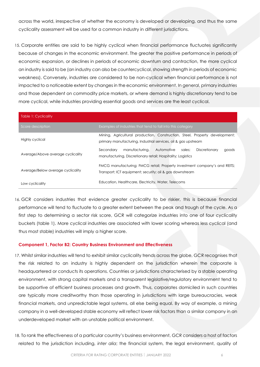across the world, irrespective of whether the economy is developed or developing, and thus the same cyclicality assessment will be used for a common industry in different jurisdictions.

15. Corporate entities are said to be highly cyclical when financial performance fluctuates significantly because of changes in the economic environment. The greater the positive performance in periods of economic expansion, or declines in periods of economic downturn and contraction, the more cyclical an industry is said to be (an industry can also be countercyclical, showing strength in periods of economic weakness). Conversely, industries are considered to be non-cyclical when financial performance is not impacted to a noticeable extent by changes in the economic environment. In general, primary industries and those dependent on commodity price markets, or where demand is highly discretionary tend to be more cyclical, while industries providing essential goods and services are the least cyclical.

| Table 1: Cyclicality              |                                                                                                                                               |
|-----------------------------------|-----------------------------------------------------------------------------------------------------------------------------------------------|
| Score description                 | Examples of industries that fend to fall into this category                                                                                   |
| Highly cyclical                   | Mining, Agricultural production, Construction, Steel, Property development;<br>primary manufacturing, Industrial services, oil & gas upstream |
| Average/Above average cyclicality | manufacturing,<br>Automotive<br>Discretionary<br>Secondary<br>sales:<br>goods<br>manufacturing, Discretionary retail; Hospitality; Logistics  |
| Average/Below average cyclicality | FMCG manufacturing; FMCG retail; Property investment company's and REITS;<br>Transport; ICT equipment; security; oil & gas downstream         |
| Low cyclicality                   | Education, Healthcare, Electricity, Water, Telecoms                                                                                           |

16. GCR considers industries that evidence greater cyclicality to be riskier, this is because financial performance will tend to fluctuate to a greater extent between the peak and trough of the cycle. As a first step to determining a sector risk score, GCR will categorize industries into one of four cyclicality buckets (table 1). More cyclical industries are associated with lower scoring whereas less cyclical (and thus most stable) industries will imply a higher score.

#### <span id="page-5-0"></span>**Component 1, Factor B2: Country Business Environment and Effectiveness**

- 17. Whilst similar industries will tend to exhibit similar cyclicality trends across the globe, GCR recognises that the risk related to an industry is highly dependent on the jurisdiction wherein the corporate is headquartered or conducts its operations. Countries or jurisdictions characterised by a stable operating environment, with strong capital markets and a transparent legislative/regulatory environment tend to be supportive of efficient business processes and growth. Thus, corporates domiciled in such countries are typically more creditworthy than those operating in jurisdictions with large bureaucracies, weak financial markets, and unpredictable legal systems, all else being equal. By way of example, a mining company in a well-developed stable economy will reflect lower risk factors than a similar company in an underdeveloped market with an unstable political environment.
- 18. To rank the effectiveness of a particular country's business environment, GCR considers a host of factors related to the jurisdiction including, *inter alia*; the financial system, the legal environment, quality of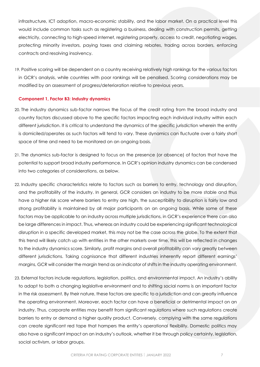infrastructure, ICT adoption, macro-economic stability, and the labor market. On a practical level this would include common tasks such as registering a business, dealing with construction permits, getting electricity, connecting to high-speed internet, registering property, access to credit, negotiating wages, protecting minority investors, paying taxes and claiming rebates, trading across borders, enforcing contracts and resolving insolvency.

19. Positive scoring will be dependent on a country receiving relatively high rankings for the various factors in GCR's analysis, while countries with poor rankings will be penalised. Scoring considerations may be modified by an assessment of progress/deterioration relative to previous years.

#### <span id="page-6-0"></span>**Component 1, Factor B3: Industry dynamics**

- 20. The industry dynamics sub-factor narrows the focus of the credit rating from the broad industry and country factors discussed above to the specific factors impacting each individual industry within each different jurisdiction. It is critical to understand the dynamics of the specific jurisdiction wherein the entity is domiciled/operates as such factors will tend to vary. These dynamics can fluctuate over a fairly short space of time and need to be monitored on an ongoing basis.
- 21. The dynamics sub-factor is designed to focus on the presence (or absence) of factors that have the potential to support broad industry performance. In GCR's opinion industry dynamics can be condensed into two categories of considerations, as below.
- 22. Industry specific characteristics relate to factors such as barriers to entry, technology and disruption, and the profitability of the industry. In general, GCR considers an industry to be more stable and thus have a higher risk score where barriers to entry are high, the susceptibility to disruption is fairly low and strong profitability is maintained by all major participants on an ongoing basis. While some of these factors may be applicable to an industry across multiple jurisdictions, in GCR's experience there can also be large differences in impact. Thus, whereas an industry could be experiencing significant technological disruption in a specific developed market, this may not be the case across the globe. To the extent that this trend will likely catch up with entities in the other markets over time, this will be reflected in changes to the industry dynamics score. Similarly, profit margins and overall profitability can vary greatly between different jurisdictions. Taking cognisance that different industries inherently report different earnings' margins, GCR will consider the margin trend as an indicator of shifts in the industry operating environment.
- 23. External factors include regulations, legislation, politics, and environmental impact. An industry's ability to adapt to both a changing legislative environment and to shifting social norms is an important factor in the risk assessment. By their nature, these factors are specific to a jurisdiction and can greatly influence the operating environment. Moreover, each factor can have a beneficial or detrimental impact on an industry. Thus, corporate entities may benefit from significant regulations where such regulations create barriers to entry or demand a higher quality product. Conversely, complying with the same regulations can create significant red tape that hampers the entity's operational flexibility. Domestic politics may also have a significant impact on an industry's outlook, whether it be through policy certainty, legislation, social activism, or labor groups.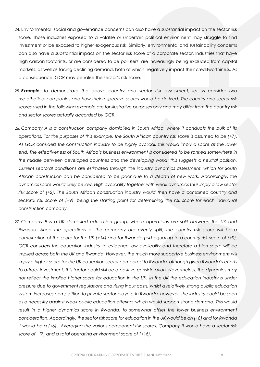- 24. Environmental, social and governance concerns can also have a substantial impact on the sector risk score. Those industries exposed to a volatile or uncertain political environment may struggle to find investment or be exposed to higher exogenous risk. Similarly, environmental and sustainability concerns can also have a substantial impact on the sector risk score of a corporate sector. Industries that have high carbon footprints, or are considered to be polluters, are increasingly being excluded from capital markets, as well as facing declining demand, both of which negatively impact their creditworthiness. As a consequence, GCR may penalise the sector's risk score.
- 25. *Example: to demonstrate the above country and sector risk assessment, let us consider two hypothetical companies and how their respective scores would be derived. The country and sector risk scores used in the following example are for illustrative purposes only and may differ from the country risk and sector scores actually accorded by GCR.*
- 26. *Company A is a construction company domiciled in South Africa, where it conducts the bulk of its operations. For the purposes of this example, the South African country risk score is assumed to be (+7). As GCR considers the construction industry to be highly cyclical, this would imply a score at the lower end. The effectiveness of South Africa's business environment is considered to be ranked somewhere in the middle between developed countries and the developing world; this suggests a neutral position. Current sectoral conditions are estimated through the industry dynamics assessment, which for South African construction can be considered to be poor due to a dearth of new work. Accordingly, the dynamics score would likely be low. High cyclicality together with weak dynamics thus imply a low sector risk score of (+2). The South African construction industry would then have a combined country and sectoral risk score of (+9), being the starting point for determining the risk score for each individual construction company.*
- 27. *Company B is a UK domiciled education group, whose operations are split between the UK and Rwanda. Since the operations of the company are evenly split, the country risk score will be a combination of the score for the UK (+14) and for Rwanda (+4) equating to a country risk score of (+9). GCR considers the education industry to evidence low cyclicality and therefore a high score will be implied across both the UK and Rwanda. However, the much more supportive business environment will imply a higher score for the UK education sector compared to Rwanda, although given Rwanda's efforts to attract investment, this factor could still be a positive consideration. Nevertheless, the dynamics may not reflect the implied higher score for education in the UK. In the UK the education industry is under pressure due to government regulations and rising input costs, whilst a relatively strong public education system increases competition to private sector players. In Rwanda, however, the industry could be seen as a necessity against weak public education offering, which would support strong demand. This would result in a higher dynamics score in Rwanda, to somewhat offset the lower business environment consideration. Accordingly, the sector risk score for education in the UK would be an (+8) and for Rwanda it would be a (+6). Averaging the various component risk scores, Company B would have a sector risk score of +(7) and a total operating environment score of (+16).*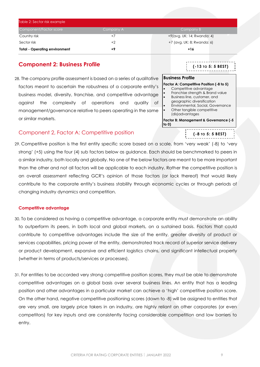| Table 2: Sector risk example         |           |                             |  |  |  |  |  |
|--------------------------------------|-----------|-----------------------------|--|--|--|--|--|
| Component/Factor score               | Company A | Company B                   |  |  |  |  |  |
| Country risk                         | +7        | +9 (avg. UK: 14; Rwanda: 4) |  |  |  |  |  |
| Sector risk                          | $+2$      | +7 (avg. UK: 8; Rwanda: 6)  |  |  |  |  |  |
| <b>Total - Operating environment</b> | +9        | $+16$                       |  |  |  |  |  |

## <span id="page-8-0"></span>**Component 2: Business Profile**

28. The company profile assessment is based on a series of qualitative factors meant to ascertain the robustness of a corporate entity's business model, diversity, franchise, and competitive advantage against the complexity of operations and quality of management/governance relative to peers operating in the same or similar markets.

| (-13 TO 5: 5 BEST) |  |
|--------------------|--|
|                    |  |
|                    |  |

#### **Business Profile**

| Factor A: Competitive Position (-8 to 5)         |
|--------------------------------------------------|
| Competitive advantage                            |
| Franchise strength & Brand value                 |
| Business line, customer, and                     |
| geographic diversification                       |
| Environmental, Social, Governance                |
| Other tangible competitive                       |
| (dis)advantages                                  |
| Factor B: Management & Governance (-5<br>to $0)$ |
| $(-8)$ TO 5: 5 BEST)                             |

### <span id="page-8-1"></span>Component 2, Factor A: Competitive position

29. Competitive position is the first entity specific score based on a scale, from 'very weak' (-8) to 'very strong' (+5) using the four (4) sub factors below as guidance. Each should be benchmarked to peers in a similar industry, both locally and globally. No one of the below factors are meant to be more important than the other and not all factors will be applicable to each industry. Rather the competitive position is an overall assessment reflecting GCR's opinion of those factors (or lack thereof) that would likely contribute to the corporate entity's business stability through economic cycles or through periods of changing industry dynamics and competition.

### <span id="page-8-2"></span>**Competitive advantage**

- 30. To be considered as having a competitive advantage, a corporate entity must demonstrate an ability to outperform its peers, in both local and global markets, on a sustained basis. Factors that could contribute to competitive advantages include the size of the entity, greater diversity of product or services capabilities, pricing power of the entity, demonstrated track record of superior service delivery or product development, expansive and efficient logistics chains, and significant intellectual property (whether in terms of products/services or processes).
- 31. For entities to be accorded very strong competitive position scores, they must be able to demonstrate competitive advantages on a global basis over several business lines. An entity that has a leading position and other advantages in a particular market can achieve a 'high' competitive position score. On the other hand, negative competitive positioning scores (down to -8) will be assigned to entities that are very small, are largely price takers in an industry, are highly reliant on other corporates (or even competitors) for key inputs and are consistently facing considerable competition and low barriers to entry.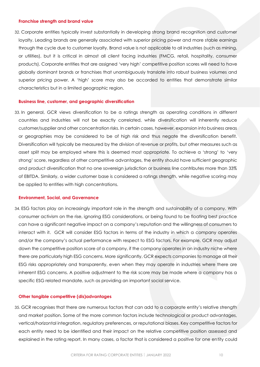#### <span id="page-9-0"></span>**Franchise strength and brand value**

32. Corporate entities typically invest substantially in developing strong brand recognition and customer loyalty. Leading brands are generally associated with superior pricing power and more stable earnings through the cycle due to customer loyalty. Brand value is not applicable to all industries (such as mining, or utilities), but it is critical in almost all client facing industries (FMCG, retail, hospitality, consumer products). Corporate entities that are assigned 'very high' competitive position scores will need to have globally dominant brands or franchises that unambiguously translate into robust business volumes and superior pricing power. A 'high' score may also be accorded to entities that demonstrate similar characteristics but in a limited geographic region.

#### <span id="page-9-1"></span>**Business line, customer, and geographic diversification**

33. In general, GCR views diversification to be a ratings strength as operating conditions in different countries and industries will not be exactly correlated, while diversification will inherently reduce customer/supplier and other concentration risks. In certain cases, however, expansion into business areas or geographies may be considered to be of high risk and thus negate the diversification benefit. Diversification will typically be measured by the division of revenue or profits, but other measures such as asset split may be employed where this is deemed most appropriate. To achieve a 'strong' to 'very strong' score, regardless of other competitive advantages, the entity should have sufficient geographic and product diversification that no one sovereign jurisdiction or business line contributes more than 33% of EBITDA. Similarly, a wider customer base is considered a ratings strength, while negative scoring may be applied to entities with high concentrations.

#### <span id="page-9-2"></span>**Environment, Social, and Governance**

34. ESG factors play an increasingly important role in the strength and sustainability of a company. With consumer activism on the rise, ignoring ESG considerations, or being found to be floating best practice can have a significant negative impact on a company's reputation and the willingness of consumers to interact with it. GCR will consider ESG factors in terms of the industry in which a company operates and/or the company's actual performance with respect to ESG factors. For example, GCR may adjust down the competitive position score of a company, if the company operates in an industry niche where there are particularly high ESG concerns. More significantly, GCR expects companies to manage all their ESG risks appropriately and transparently, even when they may operate in industries where there are inherent ESG concerns. A positive adjustment to the risk score may be made where a company has a specific ESG related mandate, such as providing an important social service.

#### <span id="page-9-3"></span>**Other tangible competitive (dis)advantages**

35. GCR recognises that there are numerous factors that can add to a corporate entity's relative strength and market position. Some of the more common factors include technological or product advantages, vertical/horizontal integration, regulatory preferences, or reputational biases. Key competitive factors for each entity need to be identified and their impact on the relative competitive position assessed and explained in the rating report. In many cases, a factor that is considered a positive for one entity could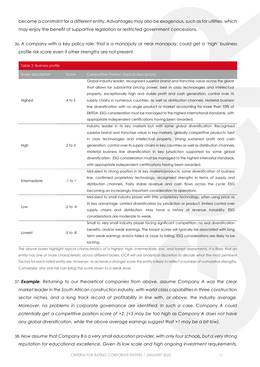become a constraint for a different entity. Advantages may also be exogenous, such as for utilities, which may enjoy the benefit of supportive legislation or restricted government concessions.

36. A company with a key policy role, that is a monopoly or near monopoly, could get a 'high' business profile risk score even if other strengths are not present.

| Table 3: Business profile |              |                                                                                               |
|---------------------------|--------------|-----------------------------------------------------------------------------------------------|
| Score description         | Score        | Competitive Position (typical descriptors)                                                    |
|                           |              | Global industry leader, recognised superior brand and franchise value across the globe        |
|                           |              | that allows for substantial pricing power, best in class technologies and intellectual        |
|                           |              | property, exceptionally high and stable profit and cash generation, control over its          |
| Highest                   | $4$ to 5     | supply chains in numerous countries, as well as distribution channels. Material business      |
|                           |              | line diversification with no single product or market accounting for more than 33% of         |
|                           |              | EBITDA. ESG consideration must be managed to the highest international standards, with        |
|                           |              | appropriate independent certifications having been awarded.                                   |
|                           |              | Industry leader in its key markets but with some global diversification. Recognised           |
|                           |              | superior brand and franchise value in key markets, globally competitive products, best        |
|                           |              | in class technologies and intellectual property. Strong sustained profit and cash             |
| High                      | $2$ to $3$   | generation, control over its supply chains in key countries as well as distribution channels, |
|                           |              | material business line diversification in key jurisdiction supported by some global           |
|                           |              | diversification. ESG consideration must be managed to the highest internarial standards,      |
|                           |              | with appropriate independent certifications having been awarded.                              |
|                           |              | Mid-sized to strong position in its key markets/products, some diversification of business    |
| Intermediate              | $-1$ to $1$  | line, confirmed proprietary technology, recognised strengths in terms of supply and           |
|                           |              | distribution channels. Fairly stable revenue and cash flows across the cycle. ESG             |
|                           |              | becoming an increasingly important consideration to operations.                               |
|                           |              | Mid-sized to small industry player with little proprietary technology, often using price as   |
|                           | $-2$ to $-4$ | its key advantage. Limited diversification by jurisdiction or product, limited control over   |
| Low                       |              | supply chains and distribution. May have a history of revenue instability. ESG                |
|                           |              | considerations are moderate to weak.                                                          |
|                           |              | Small to very small industry player facing significant competition, no real diversification   |
|                           |              | benefits, and/or weak earnings. The lowest scores will typically be associated with long      |
| Lowest                    | $-5$ to $-8$ | term weak earnings and/or failed or close to failing. ESG considerations are likely to be     |
|                           |              | lacking.                                                                                      |

*The above boxes highlight typical characteristics of a highest, high, intermediate, low, and lowest assessments. It is likely that an*  entity has one or more characteristic across different boxes. GCR will use analytical discretion to decide what the most pertinent *factors for each rated entity are. However, to achieve a stronger score the entity is likely to reflect a number of cumulative strengths. Conversely, any one risk can bring the score down to a weak level.* 

- 37. *Example: Returning to our theoretical companies from above, assume Company A was the clear market leader in the South African construction industry, with world class capabilities in three construction sector niches, and a long track record of profitability in line with, or above, the industry average. Moreover, no problems in corporate governance are identified. In such a case, Company A could potentially get a competitive position score of +2. (+3 may be too high as Company A does not have any global diversification, while the above average earnings suggest that +1 may be a bit low).*
- 38. *Now assume that Company B is a very small education provider, with only four schools, but a very strong reputation for educational excellence. Given its low scale and high ongoing investment requirements,*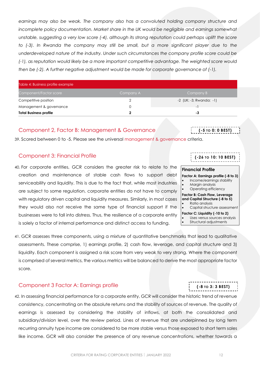earnings may also be weak. The company also has a convoluted holding company structure and incomplete policy documentation. Market share in the UK would be negligible and earnings somewhat unstable, suggesting a very low score (-4), although its strong reputation could perhaps uplift the score to (-3). In Rwanda the company may still be small, but a more significant player due to the *underdeveloped nature of the industry. Under such circumstances the company profile score could be (-1), as reputation would likely be a more important competitive advantage. The weighted score would then be (-2). A further negative adjustment would be made for corporate governance of (-1).*

| Table 4: Business profile example |           |                         |  |  |  |  |  |
|-----------------------------------|-----------|-------------------------|--|--|--|--|--|
| Component/Factor score            | Company A | Company B               |  |  |  |  |  |
| Competitive position              |           | -2 (UK: -3; Rwanda: -1) |  |  |  |  |  |
| Management & governance           | O         |                         |  |  |  |  |  |
| <b>Total Business profile</b>     | າ         | -3                      |  |  |  |  |  |

#### <span id="page-11-0"></span>Component 2, Factor B: Management & Governance

39. Scored between 0 to -5. Please see the universal [management & governance](http://gcrratings.com/criteria) criteria.

#### <span id="page-11-1"></span>Component 3: Financial Profile

- 40. For corporate entities, GCR considers the greater risk to relate to the creation and maintenance of stable cash flows to support debt serviceability and liquidity. This is due to the fact that, while most industries are subject to some regulation, corporate entities do not have to comply with regulatory driven capital and liquidity measures. Similarly, in most cases they would also not receive the same type of financial support if the businesses were to fall into distress. Thus, the resilience of a corporate entity is solely a factor of internal performance and distinct access to funding.
- 41. GCR assesses three components, using a mixture of quantitative benchmarks that lead to qualitative assessments. These comprise, 1) earnings profile, 2) cash flow, leverage, and capital structure and 3) liquidity. Each component is assigned a risk score from very weak to very strong. Where the component is comprised of several metrics, the various metrics will be balanced to derive the most appropriate factor score.

### <span id="page-11-2"></span>Component 3 Factor A: Earnings profile

42. In assessing financial performance for a corporate entity, GCR will consider the historic trend of revenue consistency, concentrating on the absolute returns and the stability of sources of revenue. The quality of earnings is assessed by considering the stability of inflows, at both the consolidated and subsidiary/division level, over the review period. Lines of revenue that are underpinned by long term recurring annuity type income are considered to be more stable versus those exposed to short term sales like income. GCR will also consider the presence of any revenue concentrations, whether towards a

# **(-26 TO 10: 10 BEST)**

# **Financial Profile**

**Factor A: Earnings profile (-8 to 3)** • Income/earnings stability • Margin analysis • Operating efficiency **Factor B: Cash Flow, Leverage and Capital Structure (-8 to 5)** • Ratio analysis

**(-5 TO 0: 0 BEST)**

- Capital structure assessment
- **Factor C: Liquidity (-10 to 2)** Uses versus sources analysis Structural adjustments

**(-8 TO 3: 3 BEST)**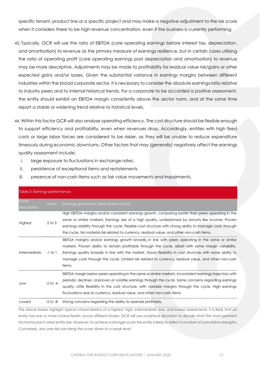specific tenant, product line or a specific project and may make a negative adjustment to the risk score when it considers there to be high revenue concentration, even if the business is currently performing.

- 43. Typically, GCR will use the ratio of EBITDA (core operating earnings before interest tax, depreciation, and amortisation) to revenue as the primary measure of earnings resilience, but in certain cases utilising the ratio of operating profit (core operating earnings post depreciation and amortisation) to revenue may be more descriptive. Adjustments may be made to profitability for residual value risk/gains or other expected gains and/or losses. Given the substantial variance in earnings margins between different industries within the broad corporate sector, it is necessary to consider the absolute earnings ratio relative to industry peers and to internal historical trends. For a corporate to be accorded a positive assessment, the entity should exhibit an EBITDA margin consistently above the sector norm, and at the same time report a stable or widening trend relative to historical levels.
- 44. Within this factor GCR will also analyse operating efficiency. The cost structure should be flexible enough to support efficiency and profitability, even when revenues drop. Accordingly, entities with high fixed costs or large labor forces are considered to be riskier, as they will be unable to reduce expenditure timeously during economic downturns. Other factors that may (generally) negatively affect the earnings quality assessment include:
	- i. large exposure to fluctuations in exchange rates;
	- ii. persistence of exceptional items and restatements
	- iii. presence of non-cash items such as fair value movements and impairments.

| Table 5: Earnings performance |              |                                                                                                                                                                                                                                                                                                                                                                                                                                          |  |  |  |  |
|-------------------------------|--------------|------------------------------------------------------------------------------------------------------------------------------------------------------------------------------------------------------------------------------------------------------------------------------------------------------------------------------------------------------------------------------------------------------------------------------------------|--|--|--|--|
| Score<br>description          | Score        | Earnings generation (typical descriptors)                                                                                                                                                                                                                                                                                                                                                                                                |  |  |  |  |
| Highest                       | $2$ to $3$   | High EBITDA margins and/or consistent earnings growth, comparing better than peers operating in the<br>same or similar markets. Earnings are of a high quality, underpinned by annuity like income. Proven<br>earnings stability through the cycle. Flexible cost structure with strong ability to manage costs through<br>the cycle. No material risk related to currency, residual value, and other non-cash items.                    |  |  |  |  |
| Intermediate                  | -1 to 1      | EBITDA margins and/or earnings growth broadly in line with peers operating in the same or similar<br>markets. Proven ability to remain profitable through the cycle, albeit with some margin variability.<br>Earnings quality broadly in line with the market. Good flexibility in cost structure with some ability to<br>manage costs through the cycle. Limited risk related to currency, residual value, and other non-cash<br>items. |  |  |  |  |
| Low                           | $-2$ to $-4$ | EBITDA margin below peers operating in the same or similar markets. Inconsistent earnings trajectory with<br>periodic declines. Unproven or volatile earnings through the cycle. Some concerns regarding earnings<br>quality. Little flexibility in the cost structure, with variable margins through the cycle. High earnings<br>fluctuations due to currency, residual value, and other non-cash items                                 |  |  |  |  |
| Lowest                        | -5 to -8     | Strong concerns regarding the ability to operate profitably.                                                                                                                                                                                                                                                                                                                                                                             |  |  |  |  |

*The above boxes highlight typical characteristics of a highest, high, intermediate, low, and lowest assessments. It is likely that an*  entity has one or more characteristic across different boxes. GCR will use analytical discretion to decide what the most pertinent factors for each rated entity are. However, to achieve a stronger score the entity is likely to reflect a number of cumulative strengths. *Conversely, any one risk can bring the score down to a weak level.*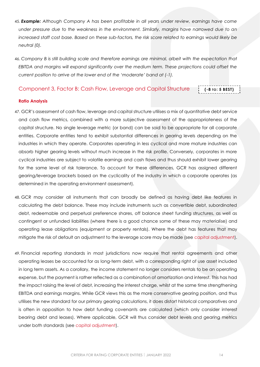- 45. *Example: Although Company A has been profitable in all years under review, earnings have come under pressure due to the weakness in the environment. Similarly, margins have narrowed due to an increased staff cost base. Based on these sub-factors, the risk score related to earnings would likely be neutral (0).*
- 46. *Company B is still building scale and therefore earnings are minimal, albeit with the expectation that EBITDA and margins will expand significantly over the medium term. These projections could offset the current position to arrive at the lower end of the 'moderate' band at (-1).*

#### <span id="page-13-0"></span>Component 3, Factor B: Cash Flow, Leverage and Capital Structure

# **(-8 TO: 5 BEST)**

#### <span id="page-13-1"></span>**Ratio Analysis**

- 47. GCR's assessment of cash flow, leverage and capital structure utilises a mix of quantitative debt service and cash flow metrics, combined with a more subjective assessment of the appropriateness of the capital structure. No single leverage metric (or band) can be said to be appropriate for all corporate entities. Corporate entities tend to exhibit substantial differences in gearing levels depending on the industries in which they operate. Corporates operating in less cyclical and more mature industries can absorb higher gearing levels without much increase in the risk profile. Conversely, corporates in more cyclical industries are subject to volatile earnings and cash flows and thus should exhibit lower gearing for the same level of risk tolerance. To account for these differences, GCR has assigned different gearing/leverage brackets based on the cyclicality of the industry in which a corporate operates (as determined in the operating environment assessment).
- 48. GCR may consider all instruments that can broadly be defined as having debt like features in calculating the debt balance. These may include instruments such as convertible debt, subordinated debt, redeemable and perpetual preference shares, off balance sheet funding structures, as well as contingent or unfunded liabilities (where there is a good chance some of these may materialise) and operating lease obligations (equipment or property rentals). Where the debt has features that may mitigate the risk of default an adjustment to the leverage score may be made (see [capital adjustment\)](#page-15-0).
- 49. Financial reporting standards in most jurisdictions now require that rental agreements and other operating leases be accounted for as long-term debt, with a corresponding right of use asset included in long term assets. As a corollary, the income statement no longer considers rentals to be an operating expense, but the payment is rather reflected as a combination of amortization and interest. This has had the impact raising the level of debt, increasing the interest charge, whilst at the same time strengthening EBITDA and earnings margins. While GCR views this as the more conservative gearing position, and thus utilises the new standard for our primary gearing calculations, it does distort historical comparatives and is often in opposition to how debt funding covenants are calculated (which only consider interest bearing debt and leases). Where applicable, GCR will thus consider debt levels and gearing metrics under both standards (see [capital adjustment\)](#page-15-0).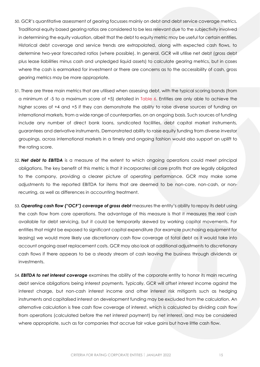- 50. GCR's quantitative assessment of gearing focusses mainly on debt and debt service coverage metrics. Traditional equity based gearing ratios are considered to be less relevant due to the subjectivity involved in determining the equity valuation, albeit that the debt to equity metric may be useful for certain entities. Historical debt coverage and service trends are extrapolated, along with expected cash flows, to determine two-year forecasted ratios (where possible). In general, GCR will utilise net debt (gross debt plus lease liabilities minus cash and unpledged liquid assets) to calculate gearing metrics, but in cases where the cash is earmarked for investment or there are concerns as to the accessibility of cash, gross gearing metrics may be more appropriate.
- 51. There are three main metrics that are utilised when assessing debt, with the typical scoring bands (from a minimum of -5 to a maximum score of +5) detailed in [Table 6.](#page-15-1) Entities are only able to achieve the higher scores of +4 and +5 if they can demonstrate the ability to raise diverse sources of funding on international markets, from a wide range of counterparties, on an ongoing basis. Such sources of funding include any number of direct bank loans, syndicated facilities, debt capital market instruments, guarantees and derivative instruments. Demonstrated ability to raise equity funding from diverse investor groupings, across international markets in a timely and ongoing fashion would also support an uplift to the rating score.
- 52. *Net debt to EBITDA* is a measure of the extent to which ongoing operations could meet principal obligations. The key benefit of this metric is that it incorporates all core profits that are legally obligated to the company, providing a clearer picture of operating performance. GCR may make some adjustments to the reported EBITDA for items that are deemed to be non-core, non-cash, or nonrecurring, as well as differences in accounting treatment.
- 53. *Operating cash flow ("OCF") coverage of gross debt* measures the entity's ability to repay its debt using the cash flow from core operations. The advantage of this measure is that it measures the real cash available for debt servicing, but it could be temporarily skewed by working capital movements. For entities that might be exposed to significant capital expenditure (for example purchasing equipment for leasing) we would more likely use discretionary cash flow coverage of total debt as it would take into account ongoing asset replacement costs. GCR may also look at additional adjustments to discretionary cash flows if there appears to be a steady stream of cash leaving the business through dividends or investments.
- 54. *EBITDA to net interest coverage* examines the ability of the corporate entity to honor its main recurring debt service obligations being interest payments. Typically, GCR will offset interest income against the interest charge, but non-cash interest income and other interest risk mitigants such as hedging instruments and capitalised interest on development funding may be excluded from the calculation. An alternative calculation is free cash flow coverage of interest, which is calculated by dividing cash flow from operations (calculated before the net interest payment) by net interest, and may be considered where appropriate, such as for companies that accrue fair value gains but have little cash flow.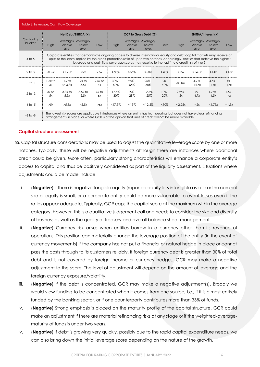<span id="page-15-1"></span>

| Table 6: Leverage, Cash Flow Coverage |                     |                                                                                                                                                                                                                                                               |                                           |                 |                  |                           |                                  |                |                    |                                                                                               |                      |                  |
|---------------------------------------|---------------------|---------------------------------------------------------------------------------------------------------------------------------------------------------------------------------------------------------------------------------------------------------------|-------------------------------------------|-----------------|------------------|---------------------------|----------------------------------|----------------|--------------------|-----------------------------------------------------------------------------------------------|----------------------|------------------|
|                                       | Net Debt/EBITDA (x) |                                                                                                                                                                                                                                                               |                                           |                 |                  | OCF to Gross Debt (%)     |                                  |                | EBITDA/Interest(x) |                                                                                               |                      |                  |
| Cyclicality<br>bucket                 | High                | Above<br>ave.                                                                                                                                                                                                                                                 | Average/ Average/<br><b>Below</b><br>ave. | Low             | High             | Average/<br>Above<br>ave. | Average/<br><b>Below</b><br>ave. | Low            | High               | Average/ Average/<br>Above<br>ave.                                                            | <b>Below</b><br>ave. | Low              |
| $4$ to 5                              |                     | Corporate entities that demonstrate ongoing access to diverse international equity and debt capital markets may receive an<br>uplift to the score implied by the credit protection ratio of up to two notches. Accordingly, entities that achieve the highest |                                           |                 |                  |                           |                                  |                |                    | leverage and cash flow coverage scores may receive further uplift to a credit risk of 4 or 5. |                      |                  |
| $2$ to $3$                            | < 1.5x              | <1.75x                                                                                                                                                                                                                                                        | <2x                                       | 2.5x            | $>60\%$          | $>55\%$                   | $>50\%$                          | $>40\%$        | >15x               | >14.5x                                                                                        | >14x                 | >13x             |
| $-1$ to $1$                           | $1.5x$ to<br>3x     | 1.75x<br>to $3.3x$                                                                                                                                                                                                                                            | $2x$ to<br>3.5x                           | $2.5x$ to<br>4x | $30\% -$<br>60%  | $28% -$<br>55%            | $25% -$<br>50%                   | $20 -$<br>40%  | $5x-15x$           | $4.7.x -$<br>14.5x                                                                            | $4.5x -$<br>14x      | $4x -$<br>13x    |
| $-2$ to $-3$                          | $3x$ to<br>5x       | $3.3x$ to<br>5.3x                                                                                                                                                                                                                                             | $3.5x$ to<br>5.5x                         | $4x$ to<br>6x   | 17.5%<br>$-30\%$ | $15% -$<br>28%            | 12.5%<br>$-25%$                  | $10% -$<br>20% | $2.25x -$<br>5x    | $2x-$<br>4.7x                                                                                 | $1.75x -$<br>4.5x    | $1.5x -$<br>4x   |
| $-4$ to $-5$                          | >5x                 | >5.3x                                                                                                                                                                                                                                                         | >5.5x                                     | >6x             | <17.5%           | <15%                      | <12.5%                           | $< 10\%$       | <2.25x             | <2x                                                                                           | <1.75x               | $<$ 1.5 $\times$ |
| $-6$ to $-8$                          |                     | The lowest risk scores are applicable in instances where an entity has high gearing, but does not have clear refinancing<br>arrangements in place, or where GCR is of the opinion that lines of credit will not be made available.                            |                                           |                 |                  |                           |                                  |                |                    |                                                                                               |                      |                  |

#### <span id="page-15-0"></span>**Capital structure assessment**

- 55. Capital structure considerations may be used to adjust the quantitative leverage score by one or more notches. Typically, these will be negative adjustments although there are instances where additional credit could be given. More often, particularly strong characteristics will enhance a corporate entity's access to capital and thus be positively considered as part of the liquidity assessment. Situations where adjustments could be made include:
	- i. (**Negative**) If there is negative tangible equity (reported equity less intangible assets) or the nominal size of equity is small, or a corporate entity could be more vulnerable to event losses even if the ratios appear adequate. Typically, GCR caps the capital score at the maximum within the average category. However, this is a qualitative judgement call and needs to consider the size and diversity of business as well as the quality of treasury and overall balance sheet management.
	- ii. (**Negative**) Currency risk arises when entities borrow in a currency other than its revenue of operations. This position can materially change the leverage position of the entity (in the event of currency movements) if the company has not put a financial or natural hedge in place or cannot pass the costs through to its customers reliably. If foreign currency debt is greater than 30% of total debt and is not covered by foreign income or currency hedges, GCR may make a negative adjustment to the score. The level of adjustment will depend on the amount of leverage and the foreign currency exposure/volatility.
	- iii. (**Negative**) If the debt is concentrated, GCR may make a negative adjustment(s). Broadly we would view funding to be concentrated when it comes from one source, i.e., if it is almost entirely funded by the banking sector, or if one counterparty contributes more than 33% of funds.
	- iv. (**Negative**) Strong emphasis is placed on the maturity profile of the capital structure. GCR could make an adjustment if there are material refinancing risks at any stage or if the weighted-averagematurity of funds is under two years.
	- v. (**Negative**) If debt is growing very quickly, possibly due to the rapid capital expenditure needs, we can also bring down the initial leverage score depending on the nature of the growth.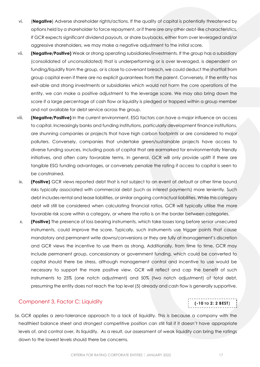- vi. (**Negative**) Adverse shareholder rights/actions. If the quality of capital is potentially threatened by options held by a shareholder to force repayment, or if there are any other debt-like characteristics. If GCR expects significant dividend payouts, or share buybacks, either from over leveraged and/or aggressive shareholders, we may make a negative adjustment to the initial score.
- vii. **(Negative/Positive)** Weak or strong operating subsidiaries/investments. If the group has a subsidiary (consolidated of unconsolidated) that is underperforming or is over leveraged, is dependent on funding/liquidity from the group, or is close to covenant breach, we could deduct the shortfall from group capital even if there are no explicit guarantees from the parent. Conversely, if the entity has exit-able and strong investments or subsidiaries which would not harm the core operations of the entity, we can make a positive adjustment to the leverage score. We may also bring down the score if a large percentage of cash flow or liquidity is pledged or trapped within a group member and not available for debt service across the group.
- viii. **(Negative/Positive)** In the current environment, ESG factors can have a major influence on access to capital. Increasingly banks and funding institutions, particularly development finance institutions, are shunning companies or projects that have high carbon footprints or are considered to major polluters. Conversely, companies that undertake green/sustainable projects have access to diverse funding sources, including pools of capital that are earmarked for environmentally friendly initiatives, and often carry favorable terms. In general, GCR will only provide uplift if there are tangible ESG funding advantages, or conversely penalize the rating if access to capital is seen to be constrained.
- ix. **(Positive)** GCR views reported debt that is not subject to an event of default or other time bound risks typically associated with commercial debt (such as interest payments) more leniently. Such debt includes rental and lease liabilities, or similar ongoing contractual liabilities. While this category debt will still be considered when calculating financial ratios, GCR will typically utilise the more favorable risk score within a category, or where the ratio is on the border between categories.
- x. **(Positive)** The presence of loss bearing instruments, which take losses long before senior unsecured instruments, could improve the score. Typically, such instruments use trigger points that cause mandatory and permanent write downs/conversions or they are fully at management's discretion and GCR views the incentive to use them as strong. Additionally, from time to time, GCR may include permanent group, concessionary or government funding, which could be converted to capital should there be stress, although management control and incentive to use would be necessary to support the more positive view. GCR will reflect and cap the benefit of such instruments to 25% (one notch adjustment) and 50% (two notch adjustment) of total debt, presuming the entity does not reach the top level (5) already and cash flow is generally supportive.

### <span id="page-16-0"></span>Component 3, Factor C: Liquidity

56. GCR applies a zero-tolerance approach to a lack of liquidity. This is because a company with the healthiest balance sheet and strongest competitive position can still fail if it doesn't have appropriate levels of, and control over, its liquidity. As a result, our assessment of weak liquidity can bring the ratings down to the lowest levels should there be concerns.

**(-10 TO 2: 2 BEST)**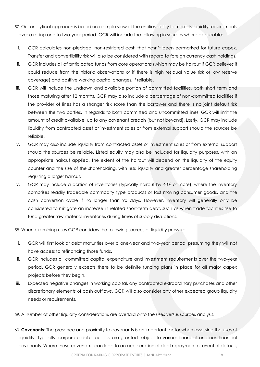- 57. Our analytical approach is based on a simple view of the entities ability to meet its liquidity requirements over a rolling one to two-year period. GCR will include the following in sources where applicable:
- i. GCR calculates non-pledged, non-restricted cash that hasn't been earmarked for future capex. Transfer and convertibility risk will also be considered with regard to foreign currency cash holdings.
- ii. GCR includes all of anticipated funds from core operations (which may be haircut if GCR believes it could reduce from the historic observations or if there is high residual value risk or low reserve coverage) and positive working capital changes, if reliable.
- iii. GCR will include the undrawn and available portion of committed facilities, both short term and those maturing after 12 months. GCR may also include a percentage of non-committed facilities if the provider of lines has a stronger risk score than the borrower and there is no joint default risk between the two parties. In regards to both committed and uncommitted lines, GCR will limit the amount of credit available, up to any covenant breach (but not beyond). Lastly, GCR may include liquidity from contracted asset or investment sales or from external support should the sources be reliable.
- iv. GCR may also include liquidity from contracted asset or investment sales or from external support should the sources be reliable. Listed equity may also be included for liquidity purposes, with an appropriate haircut applied. The extent of the haircut will depend on the liquidity of the equity counter and the size of the shareholding, with less liquidity and greater percentage shareholding requiring a larger haircut.
- v. GCR may include a portion of inventories (typically haircut by 40% or more), where the inventory comprises readily tradeable commodity type products or fast moving consumer goods, and the cash conversion cycle if no longer than 90 days. However, inventory will generally only be considered to mitigate an increase in related short-term debt, such as when trade facilities rise to fund greater raw material inventories during times of supply disruptions.

58. When examining uses GCR considers the following sources of liquidity pressure:

- i. GCR will first look at debt maturities over a one-year and two-year period, presuming they will not have access to refinancing those funds.
- ii. GCR includes all committed capital expenditure and investment requirements over the two-year period. GCR generally expects there to be definite funding plans in place for all major capex projects before they begin.
- iii. Expected negative changes in working capital, any contracted extraordinary purchases and other discretionary elements of cash outflows. GCR will also consider any other expected group liquidity needs or requirements.

59. A number of other liquidity considerations are overlaid onto the uses versus sources analysis.

60. **Covenants**: The presence and proximity to covenants is an important factor when assessing the uses of liquidity. Typically, corporate debt facilities are granted subject to various financial and non-financial covenants. Where these covenants can lead to an acceleration of debt repayment or event of default,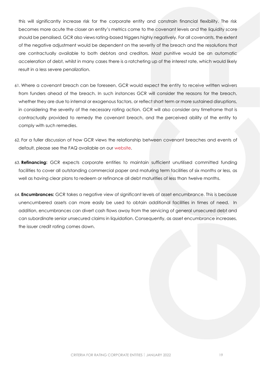this will significantly increase risk for the corporate entity and constrain financial flexibility. The risk becomes more acute the closer an entity's metrics come to the covenant levels and the liquidity score should be penalised. GCR also views rating-based triggers highly negatively. For all covenants, the extent of the negative adjustment would be dependent on the severity of the breach and the resolutions that are contractually available to both debtors and creditors. Most punitive would be an automatic acceleration of debt, whilst in many cases there is a ratcheting up of the interest rate, which would likely result in a less severe penalization.

- 61. Where a covenant breach can be foreseen, GCR would expect the entity to receive written waivers from funders ahead of the breach. In such instances GCR will consider the reasons for the breach, whether they are due to internal or exogenous factors, or reflect short term or more sustained disruptions, in considering the severity of the necessary rating action. GCR will also consider any timeframe that is contractually provided to remedy the covenant breach, and the perceived ability of the entity to comply with such remedies.
- 62. For a fuller discussion of how GCR views the relationship between covenant breaches and events of default, please see the FAQ available on our [website.](https://gcrratings.com/criteria/)
- 63. **Refinancing:** GCR expects corporate entities to maintain sufficient unutilised committed funding facilities to cover all outstanding commercial paper and maturing term facilities of six months or less, as well as having clear plans to redeem or refinance all debt maturities of less than twelve months.
- 64. **Encumbrances:** GCR takes a negative view of significant levels of asset encumbrance. This is because unencumbered assets can more easily be used to obtain additional facilities in times of need. In addition, encumbrances can divert cash flows away from the servicing of general unsecured debt and can subordinate senior unsecured claims in liquidation. Consequently, as asset encumbrance increases, the issuer credit rating comes down.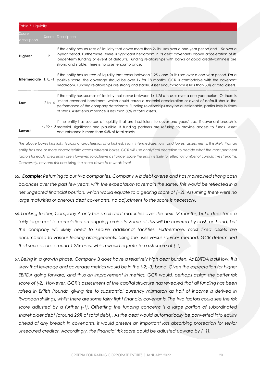| Table 7: Liquidity             |                |                                                                                                                                                                                                                                                                                                                                                                                                       |
|--------------------------------|----------------|-------------------------------------------------------------------------------------------------------------------------------------------------------------------------------------------------------------------------------------------------------------------------------------------------------------------------------------------------------------------------------------------------------|
| Score<br>description           |                | Score Description                                                                                                                                                                                                                                                                                                                                                                                     |
| Highest                        | $\mathfrak{D}$ | If the entity has sources of liquidity that cover more than 2x its uses over a one-year period and 1.5x over a<br>2-year period. Furthermore, there is significant headroom in its debt covenants above acceleration of its<br>longer-term funding or event of defaults. Funding relationships with banks of good creditworthiness are<br>strong and stable. There is no asset encumbrance.           |
| <b>Intermediate</b> $1, 0, -1$ |                | If the entity has sources of liquidity that cover between 1.25 x and 2x its uses over a one-year period. For a<br>positive score, the coverage should be over 1x for 18 months. GCR is comfortable with the covenant<br>headroom. Funding relationships are strong and stable. Asset encumbrance is less than 30% of total assets.                                                                    |
| Low                            | $-2$ to $-4$   | If the entity has sources of liquidity that cover between 1x-1.25 x its uses over a one-year period. Or there is<br>limited covenant headroom, which could cause a material acceleration or event of default should the<br>performance of the company deteriorate. Funding relationships may be questionable, particularly in times<br>of stress. Asset encumbrance is less than 50% of total assets. |
| Lowest                         |                | If the entity has sources of liquidity that are insufficient to cover one years' use. If covenant breach is<br>-5 to -10 material, significant and plausible. If funding partners are refusing to provide access to funds. Asset<br>encumbrance is more than 50% of total assets.                                                                                                                     |

*The above boxes highlight typical characteristics of a highest, high, intermediate, low, and lowest assessments. It is likely that an entity has one or more characteristic across different boxes. GCR will use analytical discretion to decide what the most pertinent*  factors for each rated entity are. However, to achieve a stronger score the entity is likely to reflect a number of cumulative strengths. *Conversely, any one risk can bring the score down to a weak level.*

- 65. *Example: Returning to our two companies, Company A is debt averse and has maintained strong cash balances over the past few years, with the expectation to remain the same. This would be reflected in a net ungeared financial position, which would equate to a gearing score of (+2). Assuming there were no large maturities or onerous debt covenants, no adjustment to the score is necessary.*
- 66. *Looking further, Company A only has small debt maturities over the next 18 months, but it does face a*  fairly large cost to completion on ongoing projects. Some of this will be covered by cash on hand, but *the company will likely need to secure additional facilities. Furthermore, most fixed assets are encumbered to various leasing arrangements. Using the uses versus sources method, GCR determined that sources are around 1.25x uses, which would equate to a risk score of (-1).*
- 67. *Being in a growth phase, Company B does have a relatively high debt burden. As EBITDA is still low, it is likely that leverage and coverage metrics would be in the (-2; -3) band. Given the expectation for higher EBITDA going forward, and thus an improvement in metrics, GCR would, perhaps assign the better risk score of (-2). However, GCR's assessment of the capital structure has revealed that all funding has been*  raised in British Pounds, giving rise to substantial currency mismatch as half of income is derived in *Rwandan shillings, whilst there are some fairly tight financial covenants. The two factors could see the risk score adjusted by a further (-1). Offsetting the funding concerns is a large portion of subordinated shareholder debt (around 25% of total debt). As the debt would automatically be converted into equity ahead of any breach in covenants, it would present an important loss absorbing protection for senior unsecured creditor. Accordingly, the financial risk score could be adjusted upward by (+1).*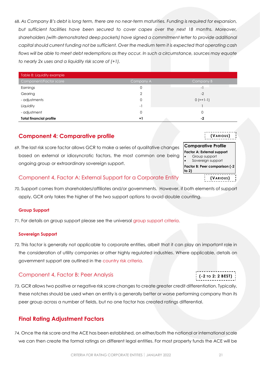68. *As Company B's debt is long term, there are no near-term maturities. Funding is required for expansion, but sufficient facilities have been secured to cover capex over the next 18 months. Moreover, shareholders (with demonstrated deep pockets) have signed a commitment letter to provide additional capital should current funding not be sufficient. Over the medium term it is expected that operating cash flows will be able to meet debt redemptions as they occur. In such a circumstance, sources may equate to nearly 2x uses and a liquidity risk score of (+1).*

| Table 8: Liquidity example     |                |             |
|--------------------------------|----------------|-------------|
| Component/Factor score         | Company A      | Company B   |
| Earnings                       | 0              | $-1$        |
| Gearing                        | ↷              | $-2$        |
| - adjustments                  | 0              | $0 (=+1-1)$ |
| Liquidity                      | $\overline{a}$ |             |
| - adjustment                   | 0              |             |
| <b>Total financial profile</b> | $+1$           | - 2         |

# <span id="page-20-0"></span>**Component 4: Comparative profile**

69. The last risk score factor allows GCR to make a series of qualitative changes based on external or idiosyncratic factors, the most common one being ongoing group or extraordinary sovereign support.

# <span id="page-20-1"></span>Component 4, Factor A: External Support for a Corporate Entity

70. Support comes from shareholders/affiliates and/or governments. However, if both elements of support apply, GCR only takes the higher of the two support options to avoid double counting.

# <span id="page-20-2"></span>**Group Support**

71. For details on group support please see the universal [group support criteria.](http://gcrratings.com/criteria)

# <span id="page-20-3"></span>**Sovereign Support**

72. This factor is generally not applicable to corporate entities, albeit that it can play an important role in the consideration of utility companies or other highly regulated industries. Where applicable, details on government support are outlined in the [country risk criteria.](http://gcrratings.com/criteria)

# <span id="page-20-4"></span>Component 4, Factor B: Peer Analysis

73. GCR allows two positive or negative risk score changes to create greater credit differentiation. Typically, these notches should be used when an entity is a generally better or worse performing company than its peer group across a number of fields, but no one factor has created ratings differential.

# <span id="page-20-5"></span>**Final Rating Adjustment Factors**

74. Once the risk score and the ACE has been established, on either/both the national or international scale we can then create the formal ratings on different legal entities. For most property funds the ACE will be

| (VARIOUS)                  |  |
|----------------------------|--|
| <b>Comparative Profile</b> |  |



**(-2 TO 2: 2 BEST)**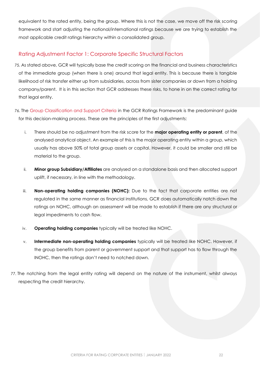equivalent to the rated entity, being the group. Where this is not the case, we move off the risk scoring framework and start adjusting the national/international ratings because we are trying to establish the most applicable credit ratings hierarchy within a consolidated group.

### <span id="page-21-0"></span>Rating Adjustment Factor 1: Corporate Specific Structural Factors

- 75. As stated above, GCR will typically base the credit scoring on the financial and business characteristics of the immediate group (when there is one) around that legal entity. This is because there is tangible likelihood of risk transfer either up from subsidiaries, across from sister companies or down from a holding company/parent. It is in this section that GCR addresses these risks, to hone in on the correct rating for that legal entity.
- 76. The [Group Classification and Support Criteria](http://gcrratings.com/criteria) in the GCR Ratings Framework is the predominant guide for this decision-making process. These are the principles of the first adjustments:
	- i. There should be no adjustment from the risk score for the **major operating entity or parent**, of the analysed analytical object. An example of this is the major operating entity within a group, which usually has above 50% of total group assets or capital. However, it could be smaller and still be material to the group.
	- ii. **Minor group Subsidiary/Affiliates** are analysed on a standalone basis and then allocated support uplift, if necessary, in line with the methodology.
	- iii. **Non-operating holding companies (NOHC):** Due to the fact that corporate entities are not regulated in the same manner as financial institutions, GCR does automatically notch down the ratings on NOHC, although an assessment will be made to establish if there are any structural or legal impediments to cash flow.
	- iv. **Operating holding companies** typically will be treated like NOHC.
	- v. **Intermediate non-operating holding companies** typically will be treated like NOHC. However, if the group benefits from parent or government support and that support has to flow through the INOHC, then the ratings don't need to notched down.
- 77. The notching from the legal entity rating will depend on the nature of the instrument, whilst always respecting the credit hierarchy.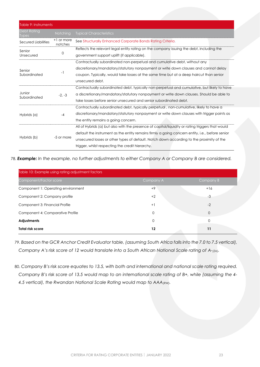| Table 9: Instruments               |                       |                                                                                                                                                                                                                                                                                                                                                     |  |
|------------------------------------|-----------------------|-----------------------------------------------------------------------------------------------------------------------------------------------------------------------------------------------------------------------------------------------------------------------------------------------------------------------------------------------------|--|
| <b>Debt Rating</b><br><b>Iypes</b> | <b>Notching</b>       | <b>Typical Characteristics</b>                                                                                                                                                                                                                                                                                                                      |  |
| Secured Liabilities                | +1 or more<br>notches | See Structurally Enhanced Corporate Bonds Rating Criteria.                                                                                                                                                                                                                                                                                          |  |
| Senior<br>Unsecured                | 0                     | Reflects the relevant legal entity rating on the company issuing the debt, including the<br>government support uplift (if applicable).                                                                                                                                                                                                              |  |
| Senior<br>Subordinated             | -1                    | Contractually subordinated non-perpetual and cumulative debt, without any<br>discretionary/mandatory/statutory nonpayment or write down clauses and cannot delay<br>coupon. Typically, would take losses at the same time but at a deep haircut than senior<br>unsecured debt.                                                                      |  |
| Junior<br>Subordinated             | $-2. -3$              | Contractually subordinated debt, typically non-perpetual and cumulative, but likely to have<br>a discretionary/mandatory/statutory nonpayment or write down clauses. Should be able to<br>take losses before senior unsecured and senior subordinated debt.                                                                                         |  |
| Hybrids (a)                        | $-4$                  | Contractually subordinated debt, typically perpetual, non-cumulative, likely to have a<br>discretionary/mandatory/statutory nonpayment or write down clauses with trigger points as<br>the entity remains a going concern.                                                                                                                          |  |
| Hybrids (b)                        | -5 or more            | All of Hybrids (a) but also with the presence of capital/liquidity or rating triggers that would<br>default the instrument as the entity remains firmly a going concern entity, i.e., before senior<br>unsecured losses or other types of default. Notch down according to the proximity of the<br>trigger, whilst respecting the credit hierarchy. |  |

78. *Example: In the example, no further adjustments to either Company A or Company B are considered.*

| Table 10: Example using rating adjustment factors |           |              |  |  |
|---------------------------------------------------|-----------|--------------|--|--|
| Component/Factor score                            | Company A | Company B    |  |  |
| Component 1: Operating environment                | $+9$      | $+16$        |  |  |
| Component 2: Company profile                      | $+2$      | $-3$         |  |  |
| Component 3: Financial Profile                    | $+1$      | $-2$         |  |  |
| Component 4: Comparative Profile                  | $\Omega$  | $\mathbf{O}$ |  |  |
| <b>Adjustments</b>                                | $\Omega$  | $\Omega$     |  |  |
| <b>Total risk score</b>                           | 12        | 11           |  |  |

79. *Based on the GCR Anchor Credit Evaluator table, (assuming South Africa falls into the 7.0 to 7.5 vertical), Company A's risk score of 12 would translate into a South African National Scale rating of A-(ZA).* 

80. *Company B's risk score equates to 13.5, with both and international and national scale rating required. Company B's risk score of 13.5 would map to an international scale rating of B+, while (assuming the 4- 4.5 vertical), the Rwandan National Scale Rating would map to AAA(RW).*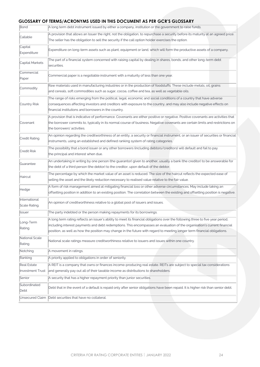### **GLOSSARY OF TERMS/ACRONYMS USED IN THIS DOCUMENT AS PER GCR'S GLOSSARY**

| Bond                           | אשט און נאך וויושטעש טווו זון שונט טאנו זושא<br>A long term debt instrument issued by either a company, institution or the government to raise funds.                                                                                                                                                                                                                                   |  |  |  |  |
|--------------------------------|-----------------------------------------------------------------------------------------------------------------------------------------------------------------------------------------------------------------------------------------------------------------------------------------------------------------------------------------------------------------------------------------|--|--|--|--|
|                                |                                                                                                                                                                                                                                                                                                                                                                                         |  |  |  |  |
| Callable                       | A provision that allows an Issuer the right, not the obligation, to repurchase a security before its maturity at an agreed price.                                                                                                                                                                                                                                                       |  |  |  |  |
|                                | The seller has the obligation to sell the security if the call option holder exercises the option.                                                                                                                                                                                                                                                                                      |  |  |  |  |
| Capital<br>Expenditure         | Expenditure on long-term assets such as plant, equipment or land, which will form the productive assets of a company.                                                                                                                                                                                                                                                                   |  |  |  |  |
| Capital Markets                | The part of a financial system concerned with raising capital by dealing in shares, bonds, and other long-term debt<br>securities.                                                                                                                                                                                                                                                      |  |  |  |  |
| Commercial<br>Paper            | Commercial paper is a negotiable instrument with a maturity of less than one year.                                                                                                                                                                                                                                                                                                      |  |  |  |  |
| Commodity                      | Raw materials used in manufacturing industries or in the production of foodstuffs. These include metals, oil, grains<br>and cereals, soft commodities such as sugar, cocoa, coffee and tea, as well as vegetable oils.                                                                                                                                                                  |  |  |  |  |
| Country Risk                   | The range of risks emerging from the political, legal, economic and social conditions of a country that have adverse<br>consequences affecting investors and creditors with exposure to the country, and may also include negative effects on<br>financial institutions and borrowers in the country.                                                                                   |  |  |  |  |
| Covenant                       | A provision that is indicative of performance. Covenants are either positive or negative. Positive covenants are activities that<br>the borrower commits to, typically in its normal course of business. Negative covenants are certain limits and restrictions on<br>the borrowers' activities.                                                                                        |  |  |  |  |
| Credit Rating                  | An opinion regarding the creditworthiness of an entity, a security or financial instrument, or an issuer of securities or financial<br>instruments, using an established and defined ranking system of rating categories.                                                                                                                                                               |  |  |  |  |
| <b>Credit Risk</b>             | The possibility that a bond issuer or any other borrowers (including debtors/creditors) will default and fail to pay<br>the principal and interest when due.                                                                                                                                                                                                                            |  |  |  |  |
| Guarantee                      | An undertaking in writing by one person (the guarantor) given to another, usually a bank (the creditor) to be answerable for<br>the debt of a third person (the debtor) to the creditor, upon default of the debtor.                                                                                                                                                                    |  |  |  |  |
| Haircut                        | The percentage by which the market value of an asset is reduced. The size of the haircut reflects the expected ease of<br>selling the asset and the likely reduction necessary to realised value relative to the fair value.                                                                                                                                                            |  |  |  |  |
| Hedge                          | A form of risk management aimed at mitigating financial loss or other adverse circumstances. May include taking an<br>offsetting position in addition to an existing position. The correlation between the existing and offsetting position is negative.                                                                                                                                |  |  |  |  |
| International<br>Scale Rating. | An opinion of creditworthiness relative to a global pool of issuers and issues.                                                                                                                                                                                                                                                                                                         |  |  |  |  |
| <b>Issuer</b>                  | The party indebted or the person making repayments for its borrowings.                                                                                                                                                                                                                                                                                                                  |  |  |  |  |
| Long-Term<br>Rating            | A long term rating reflects an issuer's ability to meet its financial obligations over the following three to five year period,<br>including interest payments and debt redemptions. This encompasses an evaluation of the organisation's current financial<br>position, as well as how the position may change in the future with regard to meeting longer term financial obligations. |  |  |  |  |
| National Scale<br>Rating       | National scale ratings measure creditworthiness relative to issuers and issues within one country.                                                                                                                                                                                                                                                                                      |  |  |  |  |
| Notching                       | A movement in ratings.                                                                                                                                                                                                                                                                                                                                                                  |  |  |  |  |
| Ranking                        | A priority applied to obligations in order of seniority.                                                                                                                                                                                                                                                                                                                                |  |  |  |  |
| Real Estate                    | A REIT is a company that owns or finances income-producing real estate. REITs are subject to special tax considerations                                                                                                                                                                                                                                                                 |  |  |  |  |
| <b>Investment Trust</b>        | and generally pay out all of their taxable income as distributions to shareholders.                                                                                                                                                                                                                                                                                                     |  |  |  |  |
| Senior                         | A security that has a higher repayment priority than junior securities.                                                                                                                                                                                                                                                                                                                 |  |  |  |  |
| Subordinated<br>Debt           | Debt that in the event of a default is repaid only after senior obligations have been repaid. It is higher risk than senior debt.                                                                                                                                                                                                                                                       |  |  |  |  |
| Unsecured Claim                | Debt securities that have no collateral.                                                                                                                                                                                                                                                                                                                                                |  |  |  |  |